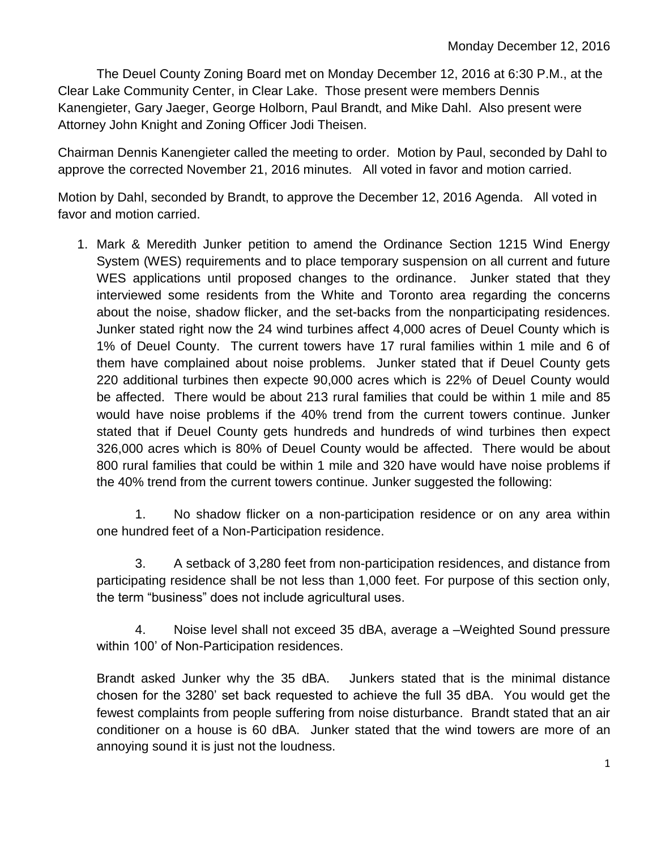The Deuel County Zoning Board met on Monday December 12, 2016 at 6:30 P.M., at the Clear Lake Community Center, in Clear Lake. Those present were members Dennis Kanengieter, Gary Jaeger, George Holborn, Paul Brandt, and Mike Dahl. Also present were Attorney John Knight and Zoning Officer Jodi Theisen.

Chairman Dennis Kanengieter called the meeting to order. Motion by Paul, seconded by Dahl to approve the corrected November 21, 2016 minutes. All voted in favor and motion carried.

Motion by Dahl, seconded by Brandt, to approve the December 12, 2016 Agenda. All voted in favor and motion carried.

1. Mark & Meredith Junker petition to amend the Ordinance Section 1215 Wind Energy System (WES) requirements and to place temporary suspension on all current and future WES applications until proposed changes to the ordinance. Junker stated that they interviewed some residents from the White and Toronto area regarding the concerns about the noise, shadow flicker, and the set-backs from the nonparticipating residences. Junker stated right now the 24 wind turbines affect 4,000 acres of Deuel County which is 1% of Deuel County. The current towers have 17 rural families within 1 mile and 6 of them have complained about noise problems. Junker stated that if Deuel County gets 220 additional turbines then expecte 90,000 acres which is 22% of Deuel County would be affected. There would be about 213 rural families that could be within 1 mile and 85 would have noise problems if the 40% trend from the current towers continue. Junker stated that if Deuel County gets hundreds and hundreds of wind turbines then expect 326,000 acres which is 80% of Deuel County would be affected. There would be about 800 rural families that could be within 1 mile and 320 have would have noise problems if the 40% trend from the current towers continue. Junker suggested the following:

1. No shadow flicker on a non-participation residence or on any area within one hundred feet of a Non-Participation residence.

3. A setback of 3,280 feet from non-participation residences, and distance from participating residence shall be not less than 1,000 feet. For purpose of this section only, the term "business" does not include agricultural uses.

4. Noise level shall not exceed 35 dBA, average a –Weighted Sound pressure within 100' of Non-Participation residences.

Brandt asked Junker why the 35 dBA. Junkers stated that is the minimal distance chosen for the 3280' set back requested to achieve the full 35 dBA. You would get the fewest complaints from people suffering from noise disturbance. Brandt stated that an air conditioner on a house is 60 dBA. Junker stated that the wind towers are more of an annoying sound it is just not the loudness.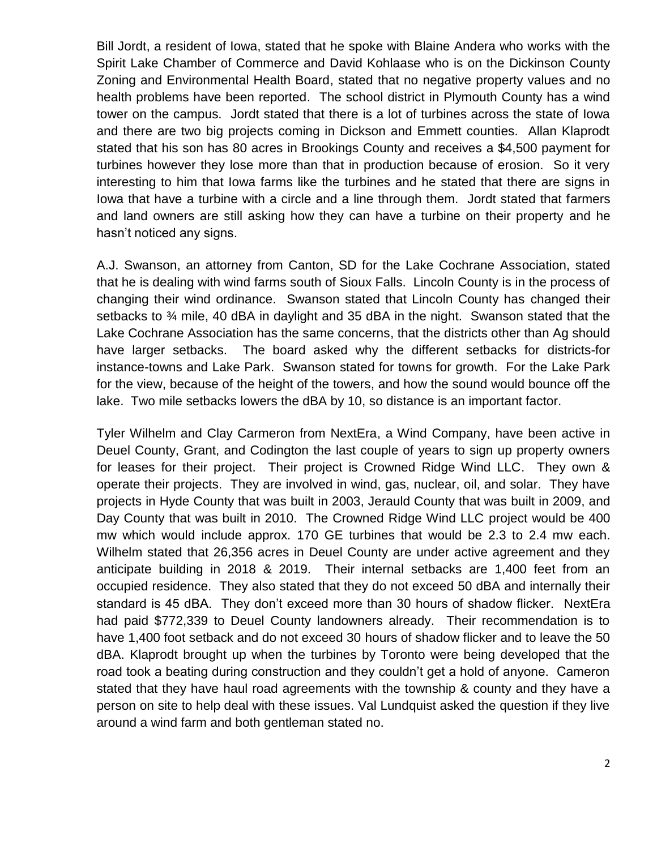Bill Jordt, a resident of Iowa, stated that he spoke with Blaine Andera who works with the Spirit Lake Chamber of Commerce and David Kohlaase who is on the Dickinson County Zoning and Environmental Health Board, stated that no negative property values and no health problems have been reported. The school district in Plymouth County has a wind tower on the campus. Jordt stated that there is a lot of turbines across the state of Iowa and there are two big projects coming in Dickson and Emmett counties. Allan Klaprodt stated that his son has 80 acres in Brookings County and receives a \$4,500 payment for turbines however they lose more than that in production because of erosion. So it very interesting to him that Iowa farms like the turbines and he stated that there are signs in Iowa that have a turbine with a circle and a line through them. Jordt stated that farmers and land owners are still asking how they can have a turbine on their property and he hasn't noticed any signs.

A.J. Swanson, an attorney from Canton, SD for the Lake Cochrane Association, stated that he is dealing with wind farms south of Sioux Falls. Lincoln County is in the process of changing their wind ordinance. Swanson stated that Lincoln County has changed their setbacks to ¾ mile, 40 dBA in daylight and 35 dBA in the night. Swanson stated that the Lake Cochrane Association has the same concerns, that the districts other than Ag should have larger setbacks. The board asked why the different setbacks for districts-for instance-towns and Lake Park. Swanson stated for towns for growth. For the Lake Park for the view, because of the height of the towers, and how the sound would bounce off the lake. Two mile setbacks lowers the dBA by 10, so distance is an important factor.

Tyler Wilhelm and Clay Carmeron from NextEra, a Wind Company, have been active in Deuel County, Grant, and Codington the last couple of years to sign up property owners for leases for their project. Their project is Crowned Ridge Wind LLC. They own & operate their projects. They are involved in wind, gas, nuclear, oil, and solar. They have projects in Hyde County that was built in 2003, Jerauld County that was built in 2009, and Day County that was built in 2010. The Crowned Ridge Wind LLC project would be 400 mw which would include approx. 170 GE turbines that would be 2.3 to 2.4 mw each. Wilhelm stated that 26,356 acres in Deuel County are under active agreement and they anticipate building in 2018 & 2019. Their internal setbacks are 1,400 feet from an occupied residence. They also stated that they do not exceed 50 dBA and internally their standard is 45 dBA. They don't exceed more than 30 hours of shadow flicker. NextEra had paid \$772,339 to Deuel County landowners already. Their recommendation is to have 1,400 foot setback and do not exceed 30 hours of shadow flicker and to leave the 50 dBA. Klaprodt brought up when the turbines by Toronto were being developed that the road took a beating during construction and they couldn't get a hold of anyone. Cameron stated that they have haul road agreements with the township & county and they have a person on site to help deal with these issues. Val Lundquist asked the question if they live around a wind farm and both gentleman stated no.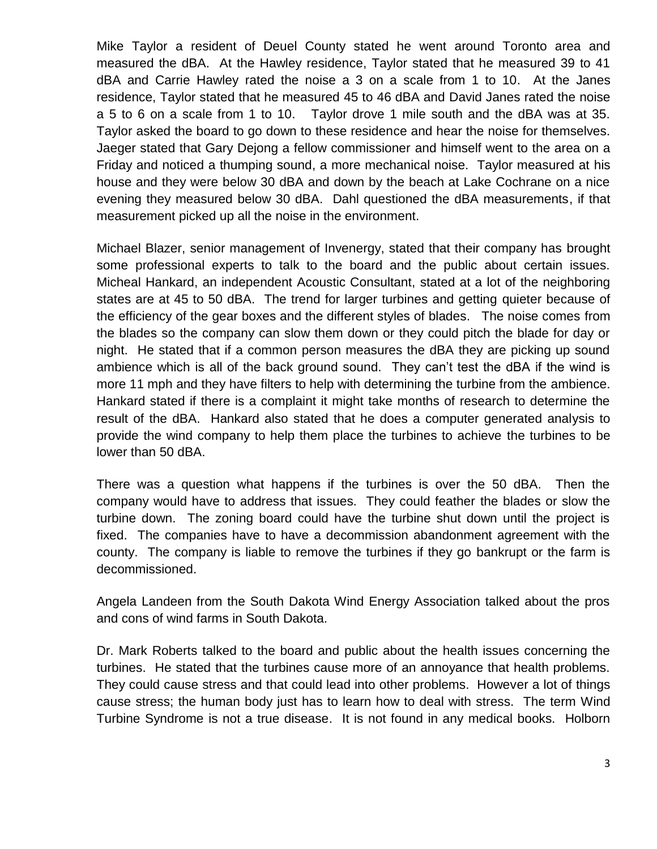Mike Taylor a resident of Deuel County stated he went around Toronto area and measured the dBA. At the Hawley residence, Taylor stated that he measured 39 to 41 dBA and Carrie Hawley rated the noise a 3 on a scale from 1 to 10. At the Janes residence, Taylor stated that he measured 45 to 46 dBA and David Janes rated the noise a 5 to 6 on a scale from 1 to 10. Taylor drove 1 mile south and the dBA was at 35. Taylor asked the board to go down to these residence and hear the noise for themselves. Jaeger stated that Gary Dejong a fellow commissioner and himself went to the area on a Friday and noticed a thumping sound, a more mechanical noise. Taylor measured at his house and they were below 30 dBA and down by the beach at Lake Cochrane on a nice evening they measured below 30 dBA. Dahl questioned the dBA measurements, if that measurement picked up all the noise in the environment.

Michael Blazer, senior management of Invenergy, stated that their company has brought some professional experts to talk to the board and the public about certain issues. Micheal Hankard, an independent Acoustic Consultant, stated at a lot of the neighboring states are at 45 to 50 dBA. The trend for larger turbines and getting quieter because of the efficiency of the gear boxes and the different styles of blades. The noise comes from the blades so the company can slow them down or they could pitch the blade for day or night. He stated that if a common person measures the dBA they are picking up sound ambience which is all of the back ground sound. They can't test the dBA if the wind is more 11 mph and they have filters to help with determining the turbine from the ambience. Hankard stated if there is a complaint it might take months of research to determine the result of the dBA. Hankard also stated that he does a computer generated analysis to provide the wind company to help them place the turbines to achieve the turbines to be lower than 50 dBA.

There was a question what happens if the turbines is over the 50 dBA. Then the company would have to address that issues. They could feather the blades or slow the turbine down. The zoning board could have the turbine shut down until the project is fixed. The companies have to have a decommission abandonment agreement with the county. The company is liable to remove the turbines if they go bankrupt or the farm is decommissioned.

Angela Landeen from the South Dakota Wind Energy Association talked about the pros and cons of wind farms in South Dakota.

Dr. Mark Roberts talked to the board and public about the health issues concerning the turbines. He stated that the turbines cause more of an annoyance that health problems. They could cause stress and that could lead into other problems. However a lot of things cause stress; the human body just has to learn how to deal with stress. The term Wind Turbine Syndrome is not a true disease. It is not found in any medical books. Holborn